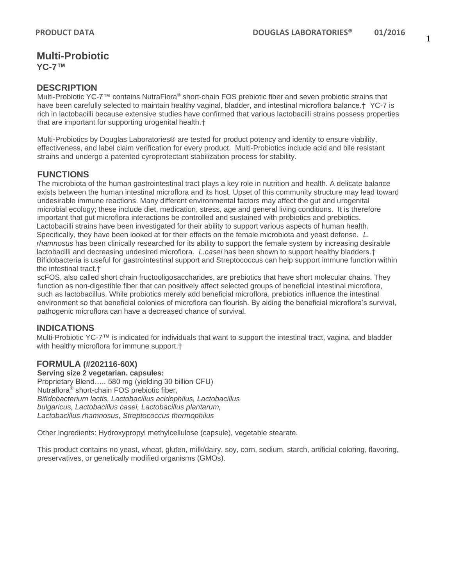**Multi-Probiotic YC-7™**

## **DESCRIPTION**

Multi-Probiotic YC-7™ contains NutraFlora® short-chain FOS prebiotic fiber and seven probiotic strains that have been carefully selected to maintain healthy vaginal, bladder, and intestinal microflora balance.† YC-7 is rich in lactobacilli because extensive studies have confirmed that various lactobacilli strains possess properties that are important for supporting urogenital health.†

Multi-Probiotics by Douglas Laboratories® are tested for product potency and identity to ensure viability, effectiveness, and label claim verification for every product. Multi-Probiotics include acid and bile resistant strains and undergo a patented cyroprotectant stabilization process for stability.

# **FUNCTIONS**

The microbiota of the human gastrointestinal tract plays a key role in nutrition and health. A delicate balance exists between the human intestinal microflora and its host. Upset of this community structure may lead toward undesirable immune reactions. Many different environmental factors may affect the gut and urogenital microbial ecology; these include diet, medication, stress, age and general living conditions. It is therefore important that gut microflora interactions be controlled and sustained with probiotics and prebiotics. Lactobacilli strains have been investigated for their ability to support various aspects of human health. Specifically, they have been looked at for their effects on the female microbiota and yeast defense. *L. rhamnosus* has been clinically researched for its ability to support the female system by increasing desirable lactobacilli and decreasing undesired microflora. *L.casei* has been shown to support healthy bladders.† Bifidobacteria is useful for gastrointestinal support and Streptococcus can help support immune function within the intestinal tract.†

scFOS, also called short chain fructooligosaccharides, are prebiotics that have short molecular chains. They function as non-digestible fiber that can positively affect selected groups of beneficial intestinal microflora, such as lactobacillus. While probiotics merely add beneficial microflora, prebiotics influence the intestinal environment so that beneficial colonies of microflora can flourish. By aiding the beneficial microflora's survival, pathogenic microflora can have a decreased chance of survival.

# **INDICATIONS**

Multi-Probiotic YC-7™ is indicated for individuals that want to support the intestinal tract, vagina, and bladder with healthy microflora for immune support.†

## **FORMULA (#202116-60X)**

### **Serving size 2 vegetarian. capsules:**

Proprietary Blend….. 580 mg (yielding 30 billion CFU) Nutraflora® short-chain FOS prebiotic fiber, *Bifidobacterium lactis, Lactobacillus acidophilus, Lactobacillus bulgaricus, Lactobacillus casei, Lactobacillus plantarum, Lactobacillus rhamnosus, Streptococcus thermophilus*

Other Ingredients: Hydroxypropyl methylcellulose (capsule), vegetable stearate.

This product contains no yeast, wheat, gluten, milk/dairy, soy, corn, sodium, starch, artificial coloring, flavoring, preservatives, or genetically modified organisms (GMOs).